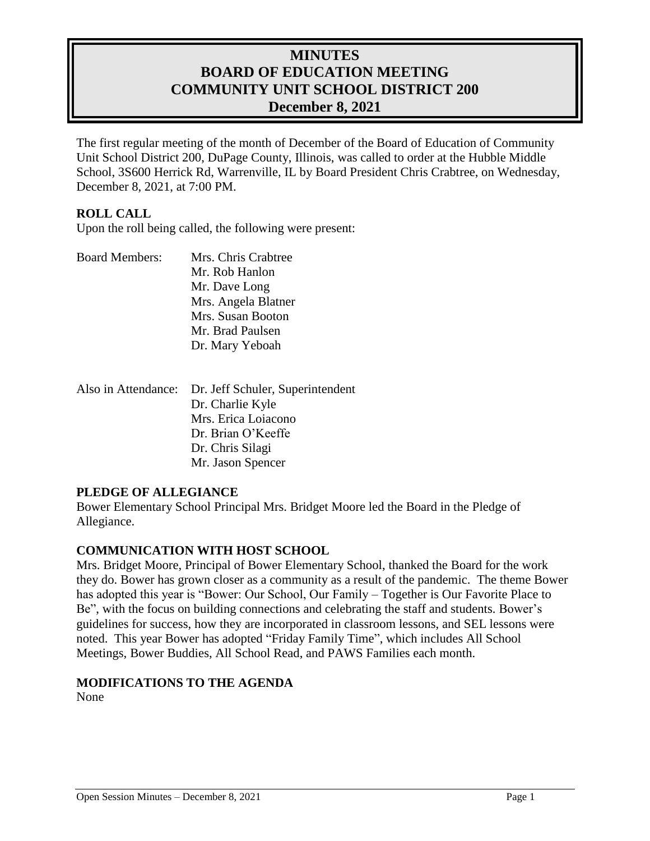# **MINUTES BOARD OF EDUCATION MEETING COMMUNITY UNIT SCHOOL DISTRICT 200 December 8, 2021**

The first regular meeting of the month of December of the Board of Education of Community Unit School District 200, DuPage County, Illinois, was called to order at the Hubble Middle School, 3S600 Herrick Rd, Warrenville, IL by Board President Chris Crabtree, on Wednesday, December 8, 2021, at 7:00 PM.

### **ROLL CALL**

Upon the roll being called, the following were present:

| <b>Board Members:</b> | Mrs. Chris Crabtree |
|-----------------------|---------------------|
|                       | Mr. Rob Hanlon      |
|                       | Mr. Dave Long       |
|                       | Mrs. Angela Blatner |
|                       | Mrs. Susan Booton   |
|                       | Mr. Brad Paulsen    |
|                       | Dr. Mary Yeboah     |
|                       |                     |

| Also in Attendance: Dr. Jeff Schuler, Superintendent |
|------------------------------------------------------|
| Dr. Charlie Kyle                                     |
| Mrs. Erica Loiacono                                  |
| Dr. Brian O'Keeffe                                   |
| Dr. Chris Silagi                                     |
| Mr. Jason Spencer                                    |

### **PLEDGE OF ALLEGIANCE**

Bower Elementary School Principal Mrs. Bridget Moore led the Board in the Pledge of Allegiance.

### **COMMUNICATION WITH HOST SCHOOL**

Mrs. Bridget Moore, Principal of Bower Elementary School, thanked the Board for the work they do. Bower has grown closer as a community as a result of the pandemic. The theme Bower has adopted this year is "Bower: Our School, Our Family – Together is Our Favorite Place to Be", with the focus on building connections and celebrating the staff and students. Bower's guidelines for success, how they are incorporated in classroom lessons, and SEL lessons were noted. This year Bower has adopted "Friday Family Time", which includes All School Meetings, Bower Buddies, All School Read, and PAWS Families each month.

## **MODIFICATIONS TO THE AGENDA**

None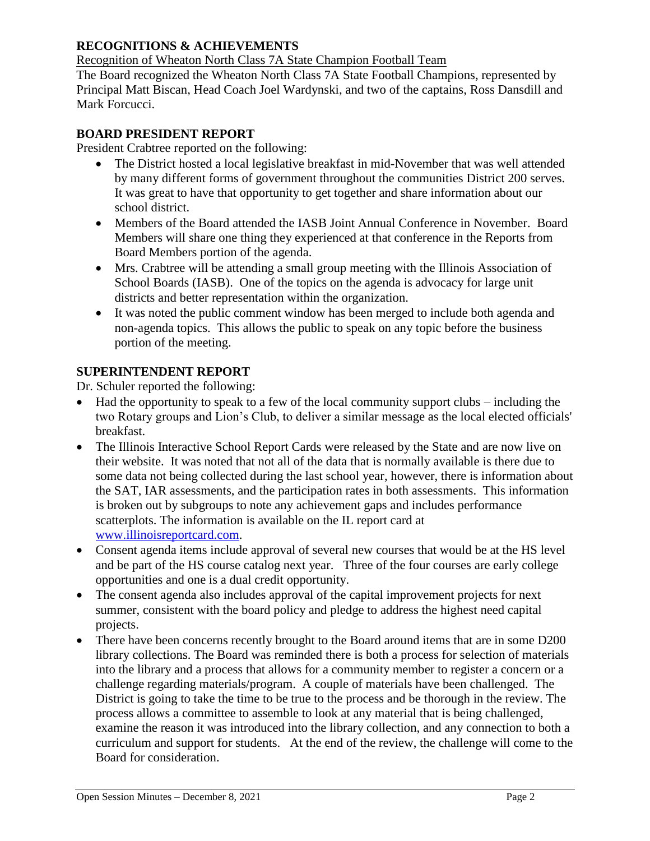## **RECOGNITIONS & ACHIEVEMENTS**

Recognition of Wheaton North Class 7A State Champion Football Team

The Board recognized the Wheaton North Class 7A State Football Champions, represented by Principal Matt Biscan, Head Coach Joel Wardynski, and two of the captains, Ross Dansdill and Mark Forcucci.

## **BOARD PRESIDENT REPORT**

President Crabtree reported on the following:

- The District hosted a local legislative breakfast in mid-November that was well attended by many different forms of government throughout the communities District 200 serves. It was great to have that opportunity to get together and share information about our school district.
- Members of the Board attended the IASB Joint Annual Conference in November. Board Members will share one thing they experienced at that conference in the Reports from Board Members portion of the agenda.
- Mrs. Crabtree will be attending a small group meeting with the Illinois Association of School Boards (IASB). One of the topics on the agenda is advocacy for large unit districts and better representation within the organization.
- It was noted the public comment window has been merged to include both agenda and non-agenda topics. This allows the public to speak on any topic before the business portion of the meeting.

### **SUPERINTENDENT REPORT**

Dr. Schuler reported the following:

- Had the opportunity to speak to a few of the local community support clubs including the two Rotary groups and Lion's Club, to deliver a similar message as the local elected officials' breakfast.
- The Illinois Interactive School Report Cards were released by the State and are now live on their website. It was noted that not all of the data that is normally available is there due to some data not being collected during the last school year, however, there is information about the SAT, IAR assessments, and the participation rates in both assessments. This information is broken out by subgroups to note any achievement gaps and includes performance scatterplots. The information is available on the IL report card at [www.illinoisreportcard.com.](http://www.illinoisreportcard.com/)
- Consent agenda items include approval of several new courses that would be at the HS level and be part of the HS course catalog next year. Three of the four courses are early college opportunities and one is a dual credit opportunity.
- The consent agenda also includes approval of the capital improvement projects for next summer, consistent with the board policy and pledge to address the highest need capital projects.
- There have been concerns recently brought to the Board around items that are in some D200 library collections. The Board was reminded there is both a process for selection of materials into the library and a process that allows for a community member to register a concern or a challenge regarding materials/program. A couple of materials have been challenged. The District is going to take the time to be true to the process and be thorough in the review. The process allows a committee to assemble to look at any material that is being challenged, examine the reason it was introduced into the library collection, and any connection to both a curriculum and support for students. At the end of the review, the challenge will come to the Board for consideration.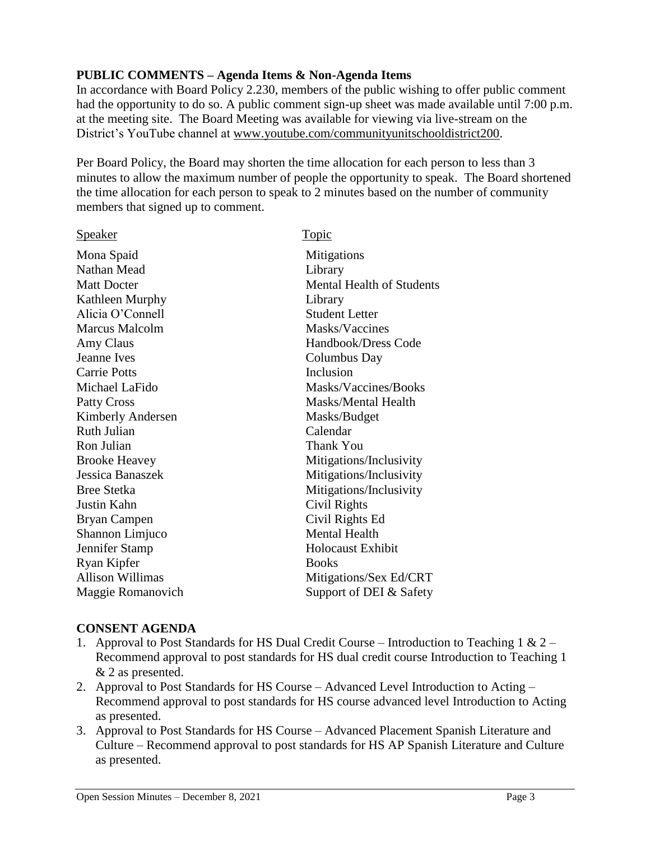## **PUBLIC COMMENTS – Agenda Items & Non-Agenda Items**

In accordance with Board Policy 2.230, members of the public wishing to offer public comment had the opportunity to do so. A public comment sign-up sheet was made available until 7:00 p.m. at the meeting site. The Board Meeting was available for viewing via live-stream on the District's YouTube channel at [www.youtube.com/communityunitschooldistrict200.](http://www.youtube.com/communityunitschooldistrict200)

Per Board Policy, the Board may shorten the time allocation for each person to less than 3 minutes to allow the maximum number of people the opportunity to speak. The Board shortened the time allocation for each person to speak to 2 minutes based on the number of community members that signed up to comment.

| <b>Speaker</b>           | Topic                     |
|--------------------------|---------------------------|
| Mona Spaid               | Mitigations               |
| Nathan Mead              | Library                   |
| <b>Matt Docter</b>       | Mental Health of Students |
| Kathleen Murphy          | Library                   |
| Alicia O'Connell         | <b>Student Letter</b>     |
| <b>Marcus Malcolm</b>    | Masks/Vaccines            |
| Amy Claus                | Handbook/Dress Code       |
| Jeanne Ives              | Columbus Day              |
| <b>Carrie Potts</b>      | Inclusion                 |
| Michael LaFido           | Masks/Vaccines/Books      |
| <b>Patty Cross</b>       | Masks/Mental Health       |
| <b>Kimberly Andersen</b> | Masks/Budget              |
| Ruth Julian              | Calendar                  |
| Ron Julian               | Thank You                 |
| <b>Brooke Heavey</b>     | Mitigations/Inclusivity   |
| Jessica Banaszek         | Mitigations/Inclusivity   |
| <b>Bree Stetka</b>       | Mitigations/Inclusivity   |
| Justin Kahn              | Civil Rights              |
| Bryan Campen             | Civil Rights Ed           |
| Shannon Limjuco          | <b>Mental Health</b>      |
| Jennifer Stamp           | <b>Holocaust Exhibit</b>  |
| Ryan Kipfer              | <b>Books</b>              |
| <b>Allison Willimas</b>  | Mitigations/Sex Ed/CRT    |
| Maggie Romanovich        | Support of DEI & Safety   |
|                          |                           |

### **CONSENT AGENDA**

- 1. Approval to Post Standards for HS Dual Credit Course Introduction to Teaching 1 & 2 Recommend approval to post standards for HS dual credit course Introduction to Teaching 1 & 2 as presented.
- 2. Approval to Post Standards for HS Course Advanced Level Introduction to Acting Recommend approval to post standards for HS course advanced level Introduction to Acting as presented.
- 3. Approval to Post Standards for HS Course Advanced Placement Spanish Literature and Culture – Recommend approval to post standards for HS AP Spanish Literature and Culture as presented.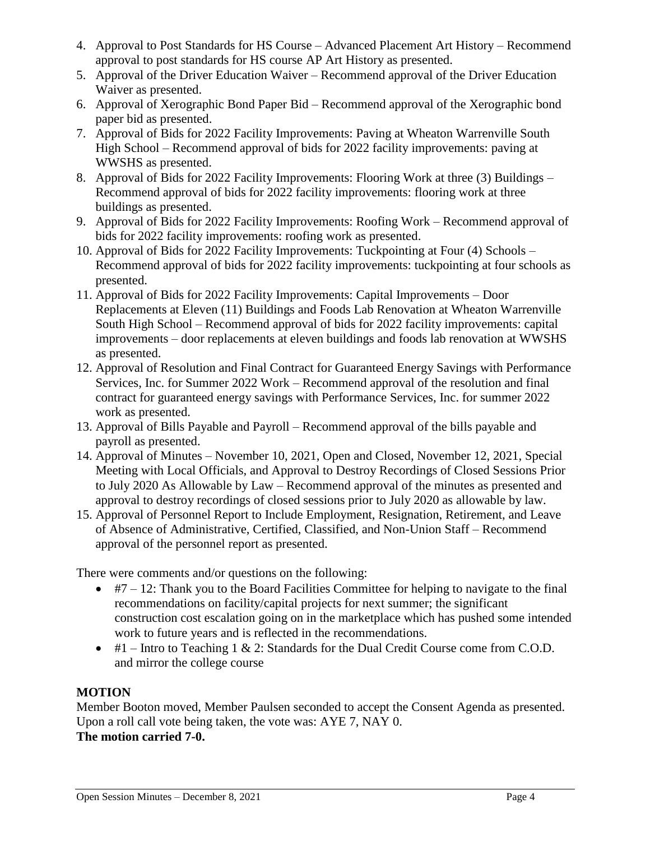- 4. Approval to Post Standards for HS Course Advanced Placement Art History Recommend approval to post standards for HS course AP Art History as presented.
- 5. Approval of the Driver Education Waiver Recommend approval of the Driver Education Waiver as presented.
- 6. Approval of Xerographic Bond Paper Bid Recommend approval of the Xerographic bond paper bid as presented.
- 7. Approval of Bids for 2022 Facility Improvements: Paving at Wheaton Warrenville South High School – Recommend approval of bids for 2022 facility improvements: paving at WWSHS as presented.
- 8. Approval of Bids for 2022 Facility Improvements: Flooring Work at three (3) Buildings Recommend approval of bids for 2022 facility improvements: flooring work at three buildings as presented.
- 9. Approval of Bids for 2022 Facility Improvements: Roofing Work Recommend approval of bids for 2022 facility improvements: roofing work as presented.
- 10. Approval of Bids for 2022 Facility Improvements: Tuckpointing at Four (4) Schools Recommend approval of bids for 2022 facility improvements: tuckpointing at four schools as presented.
- 11. Approval of Bids for 2022 Facility Improvements: Capital Improvements Door Replacements at Eleven (11) Buildings and Foods Lab Renovation at Wheaton Warrenville South High School – Recommend approval of bids for 2022 facility improvements: capital improvements – door replacements at eleven buildings and foods lab renovation at WWSHS as presented.
- 12. Approval of Resolution and Final Contract for Guaranteed Energy Savings with Performance Services, Inc. for Summer 2022 Work – Recommend approval of the resolution and final contract for guaranteed energy savings with Performance Services, Inc. for summer 2022 work as presented.
- 13. Approval of Bills Payable and Payroll Recommend approval of the bills payable and payroll as presented.
- 14. Approval of Minutes November 10, 2021, Open and Closed, November 12, 2021, Special Meeting with Local Officials, and Approval to Destroy Recordings of Closed Sessions Prior to July 2020 As Allowable by Law – Recommend approval of the minutes as presented and approval to destroy recordings of closed sessions prior to July 2020 as allowable by law.
- 15. Approval of Personnel Report to Include Employment, Resignation, Retirement, and Leave of Absence of Administrative, Certified, Classified, and Non-Union Staff – Recommend approval of the personnel report as presented.

There were comments and/or questions on the following:

- $\bullet$  #7 12: Thank you to the Board Facilities Committee for helping to navigate to the final recommendations on facility/capital projects for next summer; the significant construction cost escalation going on in the marketplace which has pushed some intended work to future years and is reflected in the recommendations.
- $\bullet$  #1 Intro to Teaching 1 & 2: Standards for the Dual Credit Course come from C.O.D. and mirror the college course

## **MOTION**

Member Booton moved, Member Paulsen seconded to accept the Consent Agenda as presented. Upon a roll call vote being taken, the vote was: AYE 7, NAY 0. **The motion carried 7-0.**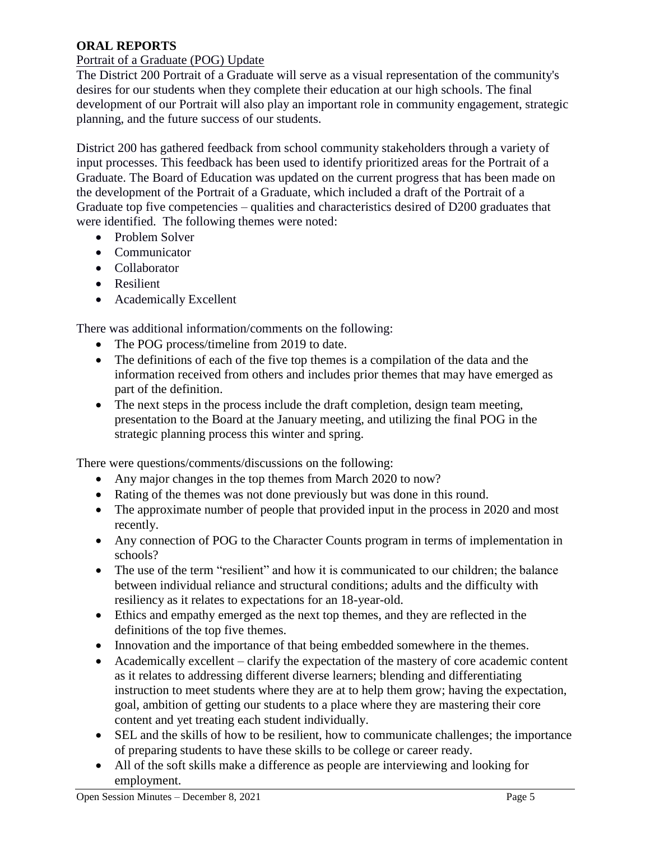## **ORAL REPORTS**

## Portrait of a Graduate (POG) Update

The District 200 Portrait of a Graduate will serve as a visual representation of the community's desires for our students when they complete their education at our high schools. The final development of our Portrait will also play an important role in community engagement, strategic planning, and the future success of our students.

District 200 has gathered feedback from school community stakeholders through a variety of input processes. This feedback has been used to identify prioritized areas for the Portrait of a Graduate. The Board of Education was updated on the current progress that has been made on the development of the Portrait of a Graduate, which included a draft of the Portrait of a Graduate top five competencies – qualities and characteristics desired of D200 graduates that were identified. The following themes were noted:

- Problem Solver
- Communicator
- Collaborator
- Resilient
- Academically Excellent

There was additional information/comments on the following:

- The POG process/timeline from 2019 to date.
- The definitions of each of the five top themes is a compilation of the data and the information received from others and includes prior themes that may have emerged as part of the definition.
- The next steps in the process include the draft completion, design team meeting, presentation to the Board at the January meeting, and utilizing the final POG in the strategic planning process this winter and spring.

There were questions/comments/discussions on the following:

- Any major changes in the top themes from March 2020 to now?
- Rating of the themes was not done previously but was done in this round.
- The approximate number of people that provided input in the process in 2020 and most recently.
- Any connection of POG to the Character Counts program in terms of implementation in schools?
- The use of the term "resilient" and how it is communicated to our children; the balance between individual reliance and structural conditions; adults and the difficulty with resiliency as it relates to expectations for an 18-year-old.
- Ethics and empathy emerged as the next top themes, and they are reflected in the definitions of the top five themes.
- Innovation and the importance of that being embedded somewhere in the themes.
- Academically excellent clarify the expectation of the mastery of core academic content as it relates to addressing different diverse learners; blending and differentiating instruction to meet students where they are at to help them grow; having the expectation, goal, ambition of getting our students to a place where they are mastering their core content and yet treating each student individually.
- SEL and the skills of how to be resilient, how to communicate challenges; the importance of preparing students to have these skills to be college or career ready.
- All of the soft skills make a difference as people are interviewing and looking for employment.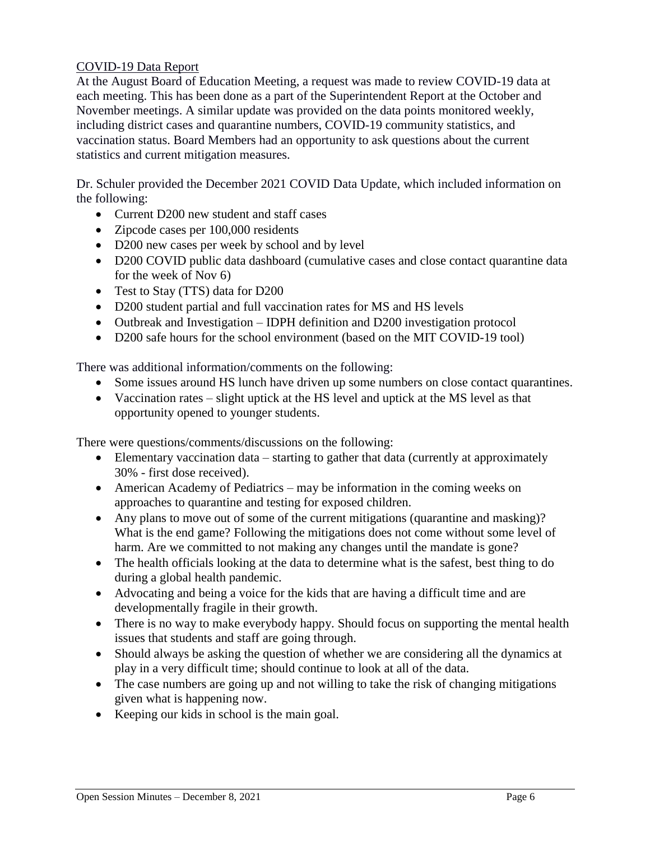## COVID-19 Data Report

At the August Board of Education Meeting, a request was made to review COVID-19 data at each meeting. This has been done as a part of the Superintendent Report at the October and November meetings. A similar update was provided on the data points monitored weekly, including district cases and quarantine numbers, COVID-19 community statistics, and vaccination status. Board Members had an opportunity to ask questions about the current statistics and current mitigation measures.

Dr. Schuler provided the December 2021 COVID Data Update, which included information on the following:

- Current D200 new student and staff cases
- Zipcode cases per 100,000 residents
- D200 new cases per week by school and by level
- D200 COVID public data dashboard (cumulative cases and close contact quarantine data for the week of Nov 6)
- Test to Stay (TTS) data for D200
- D200 student partial and full vaccination rates for MS and HS levels
- Outbreak and Investigation IDPH definition and D200 investigation protocol
- D200 safe hours for the school environment (based on the MIT COVID-19 tool)

There was additional information/comments on the following:

- Some issues around HS lunch have driven up some numbers on close contact quarantines.
- Vaccination rates slight uptick at the HS level and uptick at the MS level as that opportunity opened to younger students.

There were questions/comments/discussions on the following:

- Elementary vaccination data starting to gather that data (currently at approximately 30% - first dose received).
- American Academy of Pediatrics may be information in the coming weeks on approaches to quarantine and testing for exposed children.
- Any plans to move out of some of the current mitigations (quarantine and masking)? What is the end game? Following the mitigations does not come without some level of harm. Are we committed to not making any changes until the mandate is gone?
- The health officials looking at the data to determine what is the safest, best thing to do during a global health pandemic.
- Advocating and being a voice for the kids that are having a difficult time and are developmentally fragile in their growth.
- There is no way to make everybody happy. Should focus on supporting the mental health issues that students and staff are going through.
- Should always be asking the question of whether we are considering all the dynamics at play in a very difficult time; should continue to look at all of the data.
- The case numbers are going up and not willing to take the risk of changing mitigations given what is happening now.
- Keeping our kids in school is the main goal.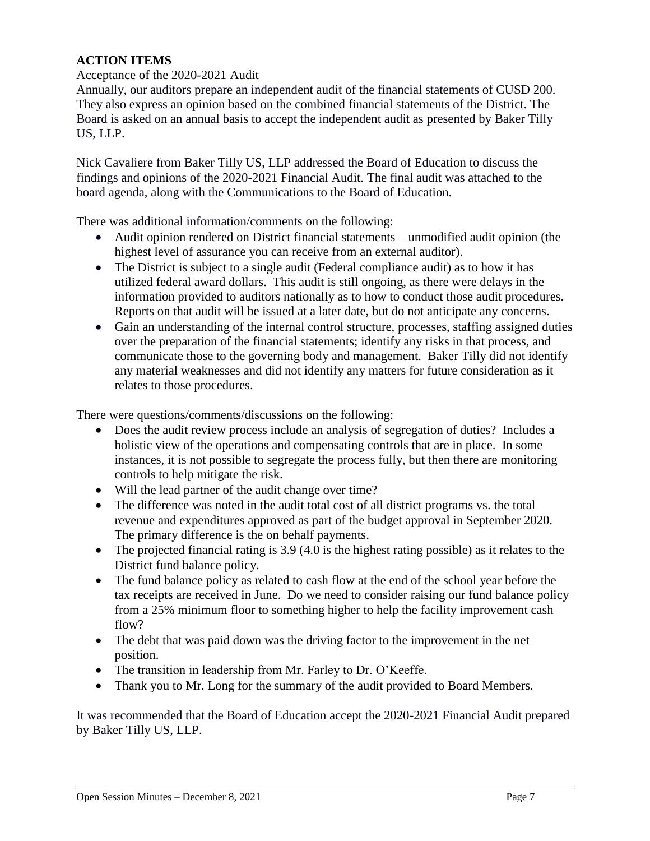## **ACTION ITEMS**

#### Acceptance of the 2020-2021 Audit

Annually, our auditors prepare an independent audit of the financial statements of CUSD 200. They also express an opinion based on the combined financial statements of the District. The Board is asked on an annual basis to accept the independent audit as presented by Baker Tilly US, LLP.

Nick Cavaliere from Baker Tilly US, LLP addressed the Board of Education to discuss the findings and opinions of the 2020-2021 Financial Audit. The final audit was attached to the board agenda, along with the Communications to the Board of Education.

There was additional information/comments on the following:

- Audit opinion rendered on District financial statements unmodified audit opinion (the highest level of assurance you can receive from an external auditor).
- The District is subject to a single audit (Federal compliance audit) as to how it has utilized federal award dollars. This audit is still ongoing, as there were delays in the information provided to auditors nationally as to how to conduct those audit procedures. Reports on that audit will be issued at a later date, but do not anticipate any concerns.
- Gain an understanding of the internal control structure, processes, staffing assigned duties over the preparation of the financial statements; identify any risks in that process, and communicate those to the governing body and management. Baker Tilly did not identify any material weaknesses and did not identify any matters for future consideration as it relates to those procedures.

There were questions/comments/discussions on the following:

- Does the audit review process include an analysis of segregation of duties? Includes a holistic view of the operations and compensating controls that are in place. In some instances, it is not possible to segregate the process fully, but then there are monitoring controls to help mitigate the risk.
- Will the lead partner of the audit change over time?
- The difference was noted in the audit total cost of all district programs vs. the total revenue and expenditures approved as part of the budget approval in September 2020. The primary difference is the on behalf payments.
- $\bullet$  The projected financial rating is 3.9 (4.0 is the highest rating possible) as it relates to the District fund balance policy.
- The fund balance policy as related to cash flow at the end of the school year before the tax receipts are received in June. Do we need to consider raising our fund balance policy from a 25% minimum floor to something higher to help the facility improvement cash flow?
- The debt that was paid down was the driving factor to the improvement in the net position.
- The transition in leadership from Mr. Farley to Dr. O'Keeffe.
- Thank you to Mr. Long for the summary of the audit provided to Board Members.

It was recommended that the Board of Education accept the 2020-2021 Financial Audit prepared by Baker Tilly US, LLP.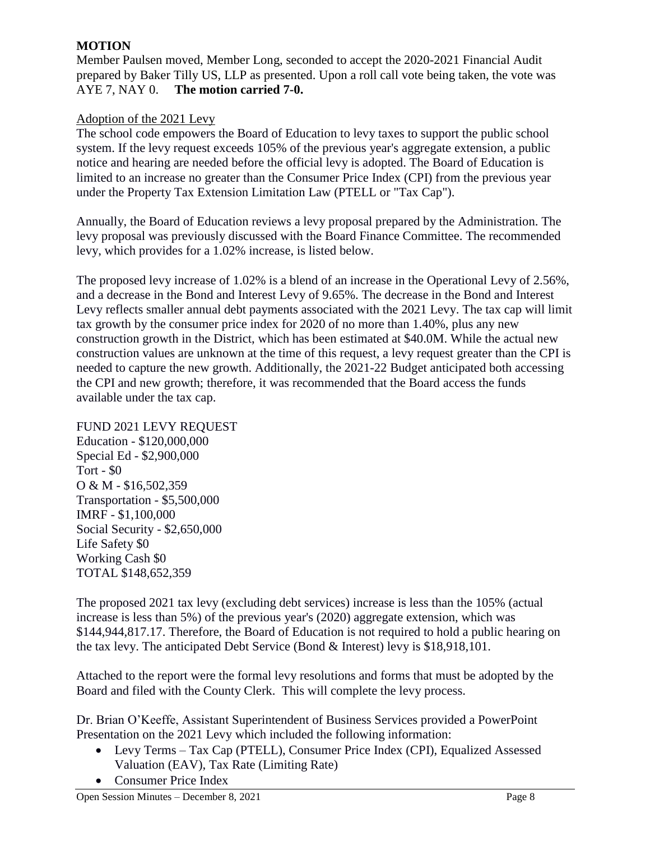## **MOTION**

Member Paulsen moved, Member Long, seconded to accept the 2020-2021 Financial Audit prepared by Baker Tilly US, LLP as presented. Upon a roll call vote being taken, the vote was AYE 7, NAY 0. **The motion carried 7-0.** 

## Adoption of the 2021 Levy

The school code empowers the Board of Education to levy taxes to support the public school system. If the levy request exceeds 105% of the previous year's aggregate extension, a public notice and hearing are needed before the official levy is adopted. The Board of Education is limited to an increase no greater than the Consumer Price Index (CPI) from the previous year under the Property Tax Extension Limitation Law (PTELL or "Tax Cap").

Annually, the Board of Education reviews a levy proposal prepared by the Administration. The levy proposal was previously discussed with the Board Finance Committee. The recommended levy, which provides for a 1.02% increase, is listed below.

The proposed levy increase of 1.02% is a blend of an increase in the Operational Levy of 2.56%, and a decrease in the Bond and Interest Levy of 9.65%. The decrease in the Bond and Interest Levy reflects smaller annual debt payments associated with the 2021 Levy. The tax cap will limit tax growth by the consumer price index for 2020 of no more than 1.40%, plus any new construction growth in the District, which has been estimated at \$40.0M. While the actual new construction values are unknown at the time of this request, a levy request greater than the CPI is needed to capture the new growth. Additionally, the 2021-22 Budget anticipated both accessing the CPI and new growth; therefore, it was recommended that the Board access the funds available under the tax cap.

FUND 2021 LEVY REQUEST Education - \$120,000,000 Special Ed - \$2,900,000 Tort - \$0 O & M - \$16,502,359 Transportation - \$5,500,000 IMRF - \$1,100,000 Social Security - \$2,650,000 Life Safety \$0 Working Cash \$0 TOTAL \$148,652,359

The proposed 2021 tax levy (excluding debt services) increase is less than the 105% (actual increase is less than 5%) of the previous year's (2020) aggregate extension, which was \$144,944,817.17. Therefore, the Board of Education is not required to hold a public hearing on the tax levy. The anticipated Debt Service (Bond & Interest) levy is \$18,918,101.

Attached to the report were the formal levy resolutions and forms that must be adopted by the Board and filed with the County Clerk. This will complete the levy process.

Dr. Brian O'Keeffe, Assistant Superintendent of Business Services provided a PowerPoint Presentation on the 2021 Levy which included the following information:

- Levy Terms Tax Cap (PTELL), Consumer Price Index (CPI), Equalized Assessed Valuation (EAV), Tax Rate (Limiting Rate)
- Consumer Price Index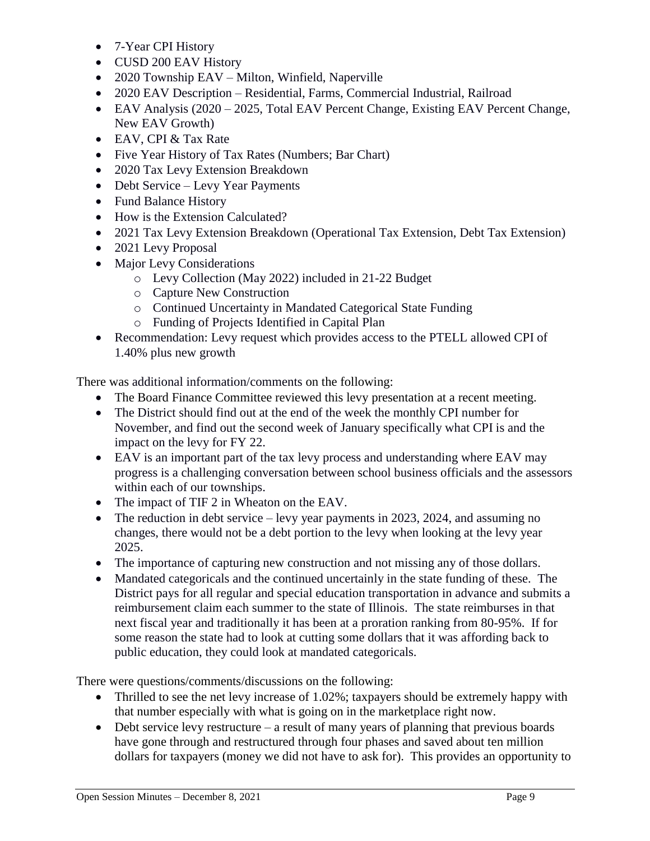- 7-Year CPI History
- CUSD 200 EAV History
- 2020 Township EAV Milton, Winfield, Naperville
- 2020 EAV Description Residential, Farms, Commercial Industrial, Railroad
- EAV Analysis (2020 2025, Total EAV Percent Change, Existing EAV Percent Change, New EAV Growth)
- EAV, CPI & Tax Rate
- Five Year History of Tax Rates (Numbers; Bar Chart)
- 2020 Tax Levy Extension Breakdown
- Debt Service Levy Year Payments
- Fund Balance History
- How is the Extension Calculated?
- 2021 Tax Levy Extension Breakdown (Operational Tax Extension, Debt Tax Extension)
- 2021 Levy Proposal
- Major Levy Considerations
	- o Levy Collection (May 2022) included in 21-22 Budget
	- o Capture New Construction
	- o Continued Uncertainty in Mandated Categorical State Funding
	- o Funding of Projects Identified in Capital Plan
- Recommendation: Levy request which provides access to the PTELL allowed CPI of 1.40% plus new growth

There was additional information/comments on the following:

- The Board Finance Committee reviewed this levy presentation at a recent meeting.
- The District should find out at the end of the week the monthly CPI number for November, and find out the second week of January specifically what CPI is and the impact on the levy for FY 22.
- EAV is an important part of the tax levy process and understanding where EAV may progress is a challenging conversation between school business officials and the assessors within each of our townships.
- The impact of TIF 2 in Wheaton on the EAV.
- The reduction in debt service levy year payments in 2023, 2024, and assuming no changes, there would not be a debt portion to the levy when looking at the levy year 2025.
- The importance of capturing new construction and not missing any of those dollars.
- Mandated categoricals and the continued uncertainly in the state funding of these. The District pays for all regular and special education transportation in advance and submits a reimbursement claim each summer to the state of Illinois. The state reimburses in that next fiscal year and traditionally it has been at a proration ranking from 80-95%. If for some reason the state had to look at cutting some dollars that it was affording back to public education, they could look at mandated categoricals.

There were questions/comments/discussions on the following:

- Thrilled to see the net levy increase of 1.02%; taxpayers should be extremely happy with that number especially with what is going on in the marketplace right now.
- Debt service levy restructure a result of many years of planning that previous boards have gone through and restructured through four phases and saved about ten million dollars for taxpayers (money we did not have to ask for). This provides an opportunity to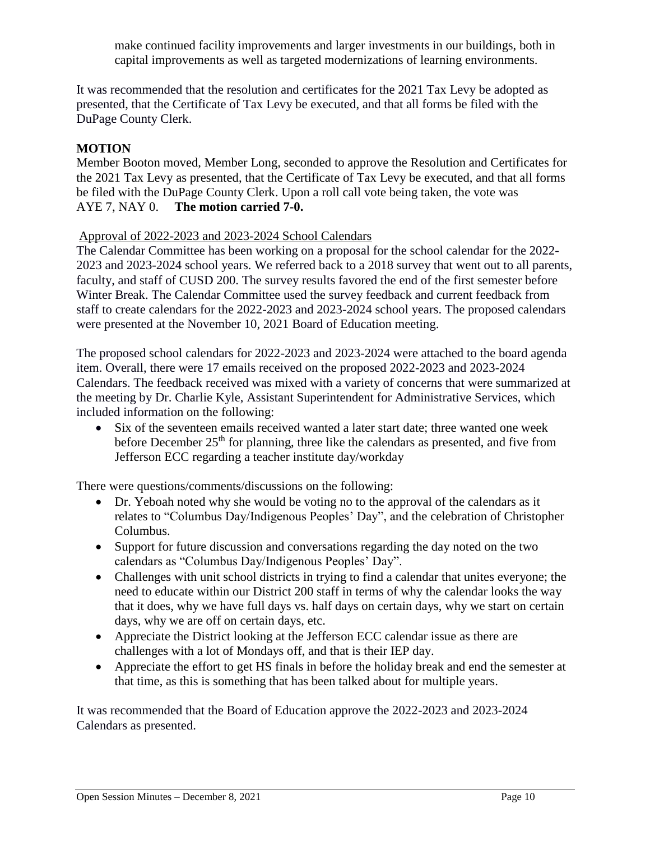make continued facility improvements and larger investments in our buildings, both in capital improvements as well as targeted modernizations of learning environments.

It was recommended that the resolution and certificates for the 2021 Tax Levy be adopted as presented, that the Certificate of Tax Levy be executed, and that all forms be filed with the DuPage County Clerk.

## **MOTION**

Member Booton moved, Member Long, seconded to approve the Resolution and Certificates for the 2021 Tax Levy as presented, that the Certificate of Tax Levy be executed, and that all forms be filed with the DuPage County Clerk. Upon a roll call vote being taken, the vote was AYE 7, NAY 0. **The motion carried 7-0.** 

#### Approval of 2022-2023 and 2023-2024 School Calendars

The Calendar Committee has been working on a proposal for the school calendar for the 2022- 2023 and 2023-2024 school years. We referred back to a 2018 survey that went out to all parents, faculty, and staff of CUSD 200. The survey results favored the end of the first semester before Winter Break. The Calendar Committee used the survey feedback and current feedback from staff to create calendars for the 2022-2023 and 2023-2024 school years. The proposed calendars were presented at the November 10, 2021 Board of Education meeting.

The proposed school calendars for 2022-2023 and 2023-2024 were attached to the board agenda item. Overall, there were 17 emails received on the proposed 2022-2023 and 2023-2024 Calendars. The feedback received was mixed with a variety of concerns that were summarized at the meeting by Dr. Charlie Kyle, Assistant Superintendent for Administrative Services, which included information on the following:

 Six of the seventeen emails received wanted a later start date; three wanted one week before December 25<sup>th</sup> for planning, three like the calendars as presented, and five from Jefferson ECC regarding a teacher institute day/workday

There were questions/comments/discussions on the following:

- Dr. Yeboah noted why she would be voting no to the approval of the calendars as it relates to "Columbus Day/Indigenous Peoples' Day", and the celebration of Christopher Columbus.
- Support for future discussion and conversations regarding the day noted on the two calendars as "Columbus Day/Indigenous Peoples' Day".
- Challenges with unit school districts in trying to find a calendar that unites everyone; the need to educate within our District 200 staff in terms of why the calendar looks the way that it does, why we have full days vs. half days on certain days, why we start on certain days, why we are off on certain days, etc.
- Appreciate the District looking at the Jefferson ECC calendar issue as there are challenges with a lot of Mondays off, and that is their IEP day.
- Appreciate the effort to get HS finals in before the holiday break and end the semester at that time, as this is something that has been talked about for multiple years.

It was recommended that the Board of Education approve the 2022-2023 and 2023-2024 Calendars as presented.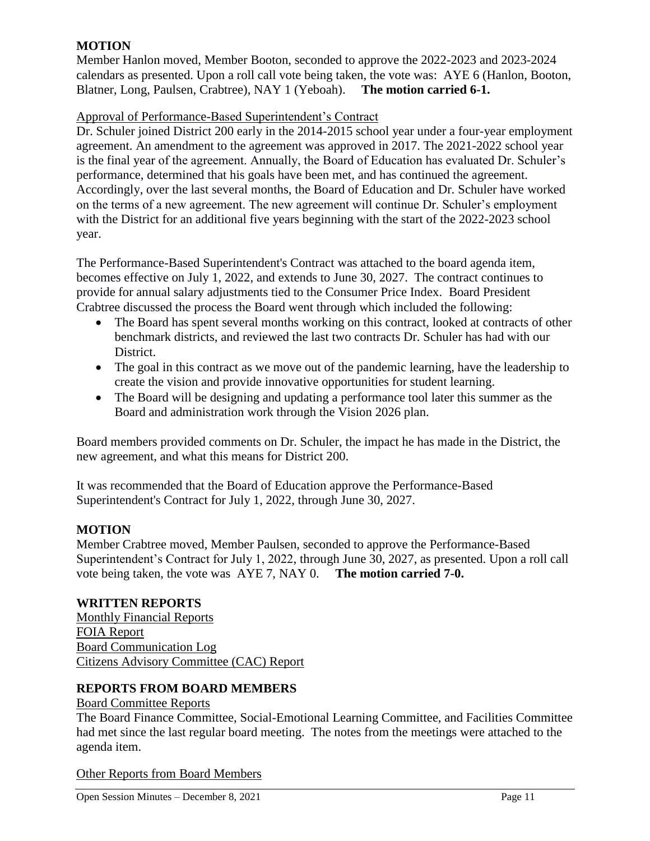## **MOTION**

Member Hanlon moved, Member Booton, seconded to approve the 2022-2023 and 2023-2024 calendars as presented. Upon a roll call vote being taken, the vote was: AYE 6 (Hanlon, Booton, Blatner, Long, Paulsen, Crabtree), NAY 1 (Yeboah). **The motion carried 6-1.** 

## Approval of Performance-Based Superintendent's Contract

Dr. Schuler joined District 200 early in the 2014-2015 school year under a four-year employment agreement. An amendment to the agreement was approved in 2017. The 2021-2022 school year is the final year of the agreement. Annually, the Board of Education has evaluated Dr. Schuler's performance, determined that his goals have been met, and has continued the agreement. Accordingly, over the last several months, the Board of Education and Dr. Schuler have worked on the terms of a new agreement. The new agreement will continue Dr. Schuler's employment with the District for an additional five years beginning with the start of the 2022-2023 school year.

The Performance-Based Superintendent's Contract was attached to the board agenda item, becomes effective on July 1, 2022, and extends to June 30, 2027. The contract continues to provide for annual salary adjustments tied to the Consumer Price Index. Board President Crabtree discussed the process the Board went through which included the following:

- The Board has spent several months working on this contract, looked at contracts of other benchmark districts, and reviewed the last two contracts Dr. Schuler has had with our District.
- The goal in this contract as we move out of the pandemic learning, have the leadership to create the vision and provide innovative opportunities for student learning.
- The Board will be designing and updating a performance tool later this summer as the Board and administration work through the Vision 2026 plan.

Board members provided comments on Dr. Schuler, the impact he has made in the District, the new agreement, and what this means for District 200.

It was recommended that the Board of Education approve the Performance-Based Superintendent's Contract for July 1, 2022, through June 30, 2027.

## **MOTION**

Member Crabtree moved, Member Paulsen, seconded to approve the Performance-Based Superintendent's Contract for July 1, 2022, through June 30, 2027, as presented. Upon a roll call vote being taken, the vote was AYE 7, NAY 0. **The motion carried 7-0.** 

### **WRITTEN REPORTS**

Monthly Financial Reports FOIA Report Board Communication Log Citizens Advisory Committee (CAC) Report

### **REPORTS FROM BOARD MEMBERS**

#### Board Committee Reports

The Board Finance Committee, Social-Emotional Learning Committee, and Facilities Committee had met since the last regular board meeting. The notes from the meetings were attached to the agenda item.

Other Reports from Board Members